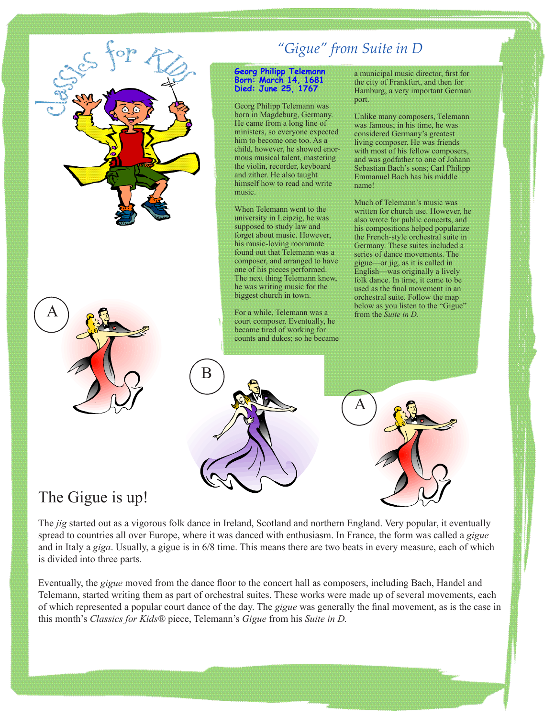

# The Gigue is up!

The *jig* started out as a vigorous folk dance in Ireland, Scotland and northern England. Very popular, it eventually spread to countries all over Europe, where it was danced with enthusiasm. In France, the form was called a *gigue* and in Italy a *giga*. Usually, a gigue is in 6/8 time. This means there are two beats in every measure, each of which is divided into three parts.

Eventually, the *gigue* moved from the dance floor to the concert hall as composers, including Bach, Handel and Telemann, started writing them as part of orchestral suites. These works were made up of several movements, each of which represented a popular court dance of the day. The *gigue* was generally the final movement, as is the case in this month's *Classics for Kids®* piece, Telemann's *Gigue* from his *Suite in D.*